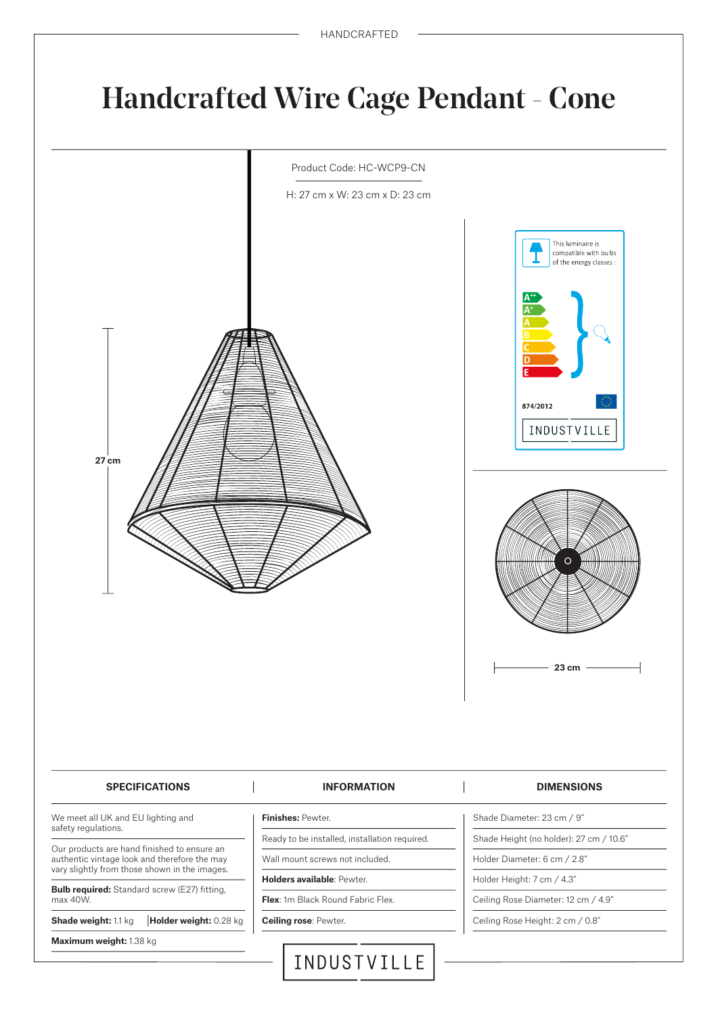## **Handcrafted Wire Cage Pendant - Cone**

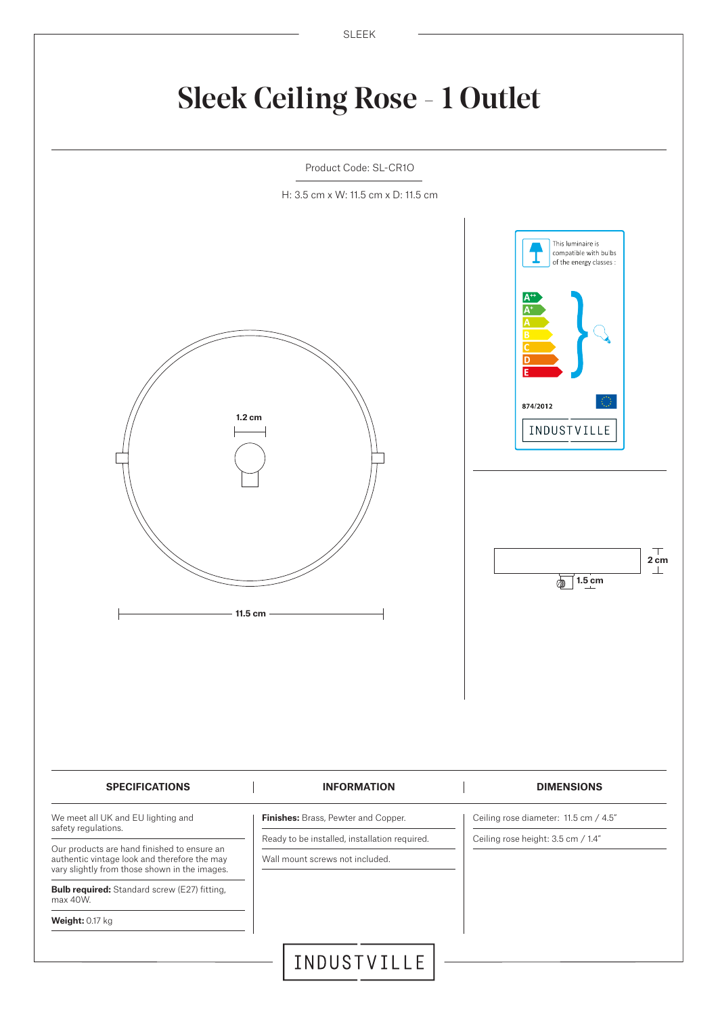